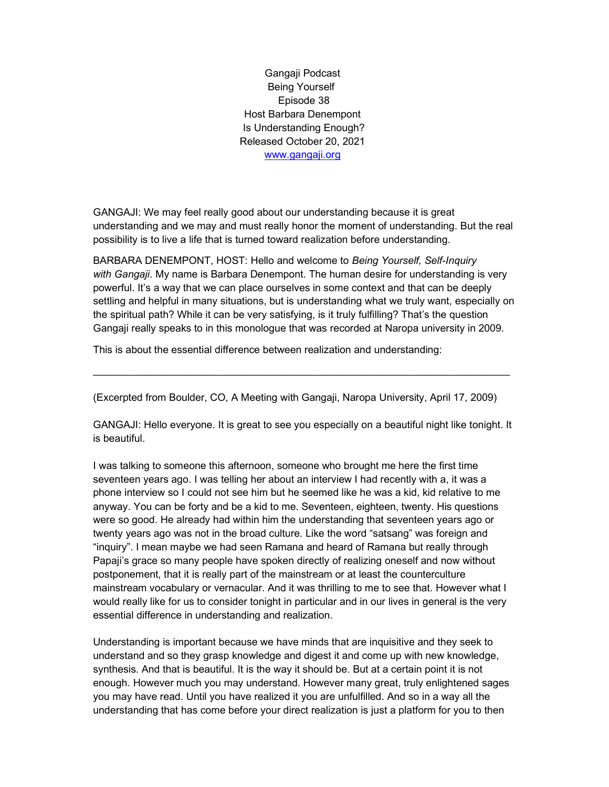Gangaji Podcast Being Yourself Episode 38 Host Barbara Denempont Is Understanding Enough? Released October 20, 2021 www.gangaji.org

GANGAJI: We may feel really good about our understanding because it is great understanding and we may and must really honor the moment of understanding. But the real possibility is to live a life that is turned toward realization before understanding.

BARBARA DENEMPONT, HOST: Hello and welcome to Being Yourself, Self-Inquiry with Gangaji. My name is Barbara Denempont. The human desire for understanding is very powerful. It's a way that we can place ourselves in some context and that can be deeply settling and helpful in many situations, but is understanding what we truly want, especially on the spiritual path? While it can be very satisfying, is it truly fulfilling? That's the question Gangaji really speaks to in this monologue that was recorded at Naropa university in 2009.

This is about the essential difference between realization and understanding:

(Excerpted from Boulder, CO, A Meeting with Gangaji, Naropa University, April 17, 2009)

 $\_$  ,  $\_$  ,  $\_$  ,  $\_$  ,  $\_$  ,  $\_$  ,  $\_$  ,  $\_$  ,  $\_$  ,  $\_$  ,  $\_$  ,  $\_$  ,  $\_$  ,  $\_$  ,  $\_$  ,  $\_$  ,  $\_$  ,  $\_$  ,  $\_$  ,  $\_$  ,  $\_$  ,  $\_$  ,  $\_$  ,  $\_$  ,  $\_$  ,  $\_$  ,  $\_$  ,  $\_$  ,  $\_$  ,  $\_$  ,  $\_$  ,  $\_$  ,  $\_$  ,  $\_$  ,  $\_$  ,  $\_$  ,  $\_$  ,

GANGAJI: Hello everyone. It is great to see you especially on a beautiful night like tonight. It is beautiful.

I was talking to someone this afternoon, someone who brought me here the first time seventeen years ago. I was telling her about an interview I had recently with a, it was a phone interview so I could not see him but he seemed like he was a kid, kid relative to me anyway. You can be forty and be a kid to me. Seventeen, eighteen, twenty. His questions were so good. He already had within him the understanding that seventeen years ago or twenty years ago was not in the broad culture. Like the word "satsang" was foreign and "inquiry". I mean maybe we had seen Ramana and heard of Ramana but really through Papaji's grace so many people have spoken directly of realizing oneself and now without postponement, that it is really part of the mainstream or at least the counterculture mainstream vocabulary or vernacular. And it was thrilling to me to see that. However what I would really like for us to consider tonight in particular and in our lives in general is the very essential difference in understanding and realization.

Understanding is important because we have minds that are inquisitive and they seek to understand and so they grasp knowledge and digest it and come up with new knowledge, synthesis. And that is beautiful. It is the way it should be. But at a certain point it is not enough. However much you may understand. However many great, truly enlightened sages you may have read. Until you have realized it you are unfulfilled. And so in a way all the understanding that has come before your direct realization is just a platform for you to then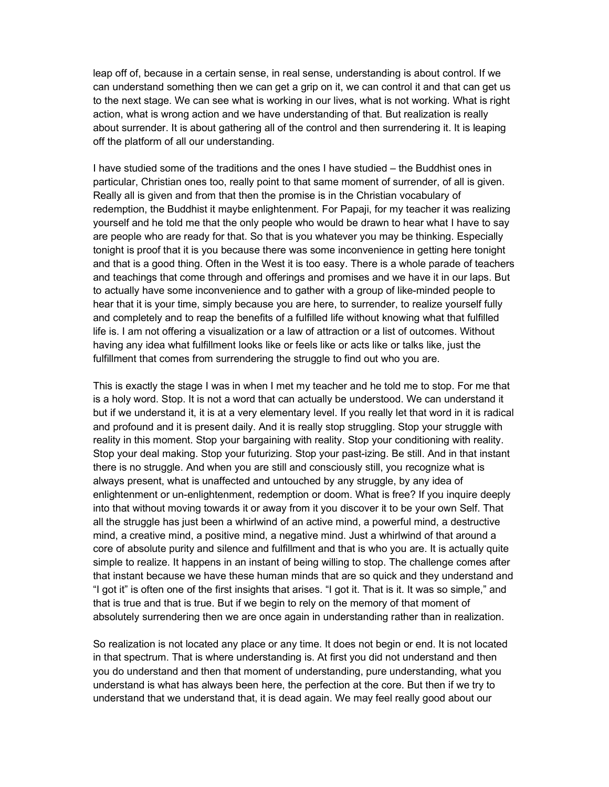leap off of, because in a certain sense, in real sense, understanding is about control. If we can understand something then we can get a grip on it, we can control it and that can get us to the next stage. We can see what is working in our lives, what is not working. What is right action, what is wrong action and we have understanding of that. But realization is really about surrender. It is about gathering all of the control and then surrendering it. It is leaping off the platform of all our understanding.

I have studied some of the traditions and the ones I have studied – the Buddhist ones in particular, Christian ones too, really point to that same moment of surrender, of all is given. Really all is given and from that then the promise is in the Christian vocabulary of redemption, the Buddhist it maybe enlightenment. For Papaji, for my teacher it was realizing yourself and he told me that the only people who would be drawn to hear what I have to say are people who are ready for that. So that is you whatever you may be thinking. Especially tonight is proof that it is you because there was some inconvenience in getting here tonight and that is a good thing. Often in the West it is too easy. There is a whole parade of teachers and teachings that come through and offerings and promises and we have it in our laps. But to actually have some inconvenience and to gather with a group of like-minded people to hear that it is your time, simply because you are here, to surrender, to realize yourself fully and completely and to reap the benefits of a fulfilled life without knowing what that fulfilled life is. I am not offering a visualization or a law of attraction or a list of outcomes. Without having any idea what fulfillment looks like or feels like or acts like or talks like, just the fulfillment that comes from surrendering the struggle to find out who you are.

This is exactly the stage I was in when I met my teacher and he told me to stop. For me that is a holy word. Stop. It is not a word that can actually be understood. We can understand it but if we understand it, it is at a very elementary level. If you really let that word in it is radical and profound and it is present daily. And it is really stop struggling. Stop your struggle with reality in this moment. Stop your bargaining with reality. Stop your conditioning with reality. Stop your deal making. Stop your futurizing. Stop your past-izing. Be still. And in that instant there is no struggle. And when you are still and consciously still, you recognize what is always present, what is unaffected and untouched by any struggle, by any idea of enlightenment or un-enlightenment, redemption or doom. What is free? If you inquire deeply into that without moving towards it or away from it you discover it to be your own Self. That all the struggle has just been a whirlwind of an active mind, a powerful mind, a destructive mind, a creative mind, a positive mind, a negative mind. Just a whirlwind of that around a core of absolute purity and silence and fulfillment and that is who you are. It is actually quite simple to realize. It happens in an instant of being willing to stop. The challenge comes after that instant because we have these human minds that are so quick and they understand and "I got it" is often one of the first insights that arises. "I got it. That is it. It was so simple," and that is true and that is true. But if we begin to rely on the memory of that moment of absolutely surrendering then we are once again in understanding rather than in realization.

So realization is not located any place or any time. It does not begin or end. It is not located in that spectrum. That is where understanding is. At first you did not understand and then you do understand and then that moment of understanding, pure understanding, what you understand is what has always been here, the perfection at the core. But then if we try to understand that we understand that, it is dead again. We may feel really good about our